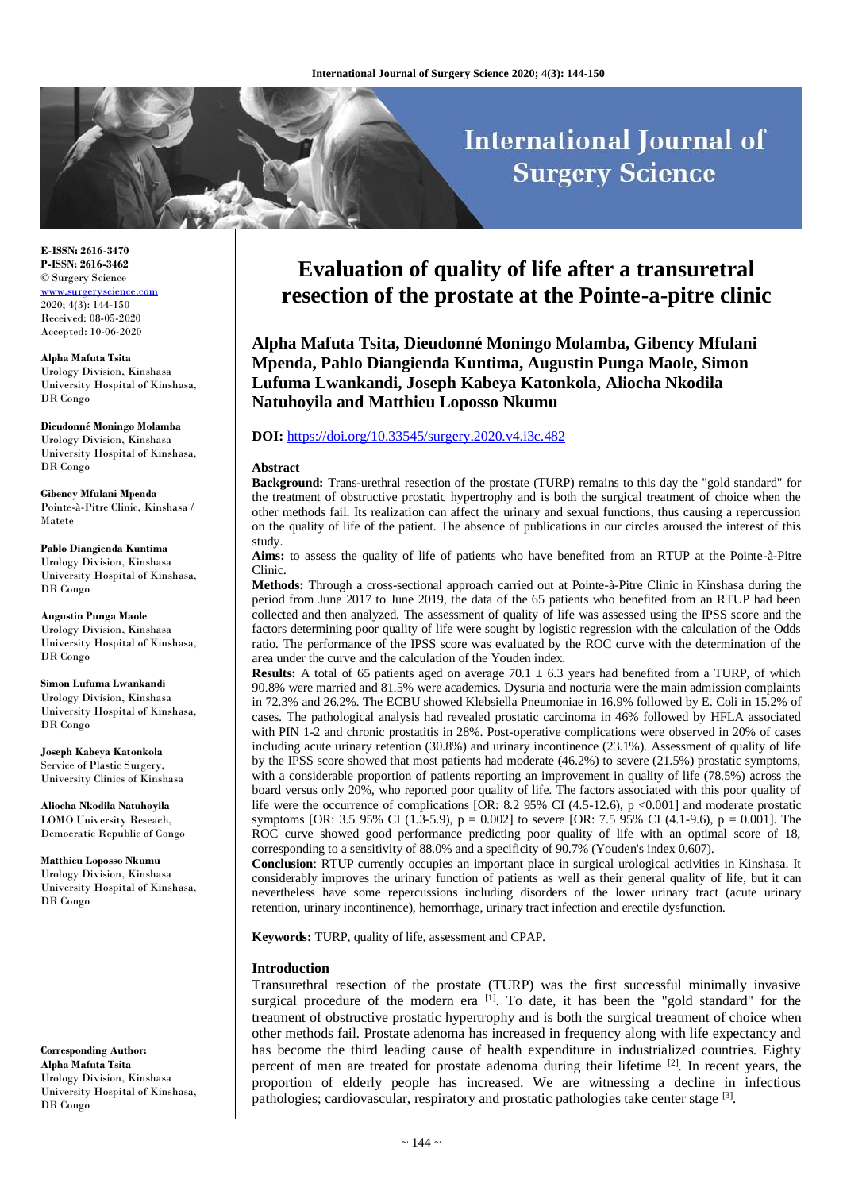# **International Journal of Surgery Science**

**E-ISSN: 2616-3470 P-ISSN: 2616-3462** © Surgery Science [www.surgeryscience.com](http://www.surgeryscience.com/) 2020; 4(3): 144-150 Received: 08-05-2020 Accepted: 10-06-2020

**Alpha Mafuta Tsita** Urology Division, Kinshasa University Hospital of Kinshasa, DR Congo

**Dieudonné Moningo Molamba** Urology Division, Kinshasa University Hospital of Kinshasa, DR Congo

**Gibency Mfulani Mpenda** Pointe-à-Pitre Clinic, Kinshasa / Matete

#### **Pablo Diangienda Kuntima** Urology Division, Kinshasa University Hospital of Kinshasa, DR Congo

**Augustin Punga Maole** Urology Division, Kinshasa University Hospital of Kinshasa, DR Congo

**Simon Lufuma Lwankandi** Urology Division, Kinshasa University Hospital of Kinshasa, DR Congo

**Joseph Kabeya Katonkola** Service of Plastic Surgery, University Clinics of Kinshasa

**Aliocha Nkodila Natuhoyila** LOMO University Reseach, Democratic Republic of Congo

**Matthieu Loposso Nkumu** Urology Division, Kinshasa University Hospital of Kinshasa, DR Congo

**Corresponding Author: Alpha Mafuta Tsita** Urology Division, Kinshasa University Hospital of Kinshasa, DR Congo

# **Evaluation of quality of life after a transuretral resection of the prostate at the Pointe-a-pitre clinic**

**Alpha Mafuta Tsita, Dieudonné Moningo Molamba, Gibency Mfulani Mpenda, Pablo Diangienda Kuntima, Augustin Punga Maole, Simon Lufuma Lwankandi, Joseph Kabeya Katonkola, Aliocha Nkodila Natuhoyila and Matthieu Loposso Nkumu**

# **DOI:** <https://doi.org/10.33545/surgery.2020.v4.i3c.482>

#### **Abstract**

**Background:** Trans-urethral resection of the prostate (TURP) remains to this day the "gold standard" for the treatment of obstructive prostatic hypertrophy and is both the surgical treatment of choice when the other methods fail. Its realization can affect the urinary and sexual functions, thus causing a repercussion on the quality of life of the patient. The absence of publications in our circles aroused the interest of this study.

**Aims:** to assess the quality of life of patients who have benefited from an RTUP at the Pointe-à-Pitre Clinic.

**Methods:** Through a cross-sectional approach carried out at Pointe-à-Pitre Clinic in Kinshasa during the period from June 2017 to June 2019, the data of the 65 patients who benefited from an RTUP had been collected and then analyzed. The assessment of quality of life was assessed using the IPSS score and the factors determining poor quality of life were sought by logistic regression with the calculation of the Odds ratio. The performance of the IPSS score was evaluated by the ROC curve with the determination of the area under the curve and the calculation of the Youden index.

**Results:** A total of 65 patients aged on average 70.1  $\pm$  6.3 years had benefited from a TURP, of which 90.8% were married and 81.5% were academics. Dysuria and nocturia were the main admission complaints in 72.3% and 26.2%. The ECBU showed Klebsiella Pneumoniae in 16.9% followed by E. Coli in 15.2% of cases. The pathological analysis had revealed prostatic carcinoma in 46% followed by HFLA associated with PIN 1-2 and chronic prostatitis in 28%. Post-operative complications were observed in 20% of cases including acute urinary retention (30.8%) and urinary incontinence (23.1%). Assessment of quality of life by the IPSS score showed that most patients had moderate (46.2%) to severe (21.5%) prostatic symptoms, with a considerable proportion of patients reporting an improvement in quality of life (78.5%) across the board versus only 20%, who reported poor quality of life. The factors associated with this poor quality of life were the occurrence of complications [OR: 8.2 95% CI (4.5-12.6), p <0.001] and moderate prostatic symptoms [OR: 3.5 95% CI (1.3-5.9), p = 0.002] to severe [OR: 7.5 95% CI (4.1-9.6), p = 0.001]. The ROC curve showed good performance predicting poor quality of life with an optimal score of 18, corresponding to a sensitivity of 88.0% and a specificity of 90.7% (Youden's index 0.607).

**Conclusion**: RTUP currently occupies an important place in surgical urological activities in Kinshasa. It considerably improves the urinary function of patients as well as their general quality of life, but it can nevertheless have some repercussions including disorders of the lower urinary tract (acute urinary retention, urinary incontinence), hemorrhage, urinary tract infection and erectile dysfunction.

**Keywords:** TURP, quality of life, assessment and CPAP.

#### **Introduction**

Transurethral resection of the prostate (TURP) was the first successful minimally invasive surgical procedure of the modern era  $\left[1\right]$ . To date, it has been the "gold standard" for the treatment of obstructive prostatic hypertrophy and is both the surgical treatment of choice when other methods fail. Prostate adenoma has increased in frequency along with life expectancy and has become the third leading cause of health expenditure in industrialized countries. Eighty percent of men are treated for prostate adenoma during their lifetime [2]. In recent years, the proportion of elderly people has increased. We are witnessing a decline in infectious pathologies; cardiovascular, respiratory and prostatic pathologies take center stage [3].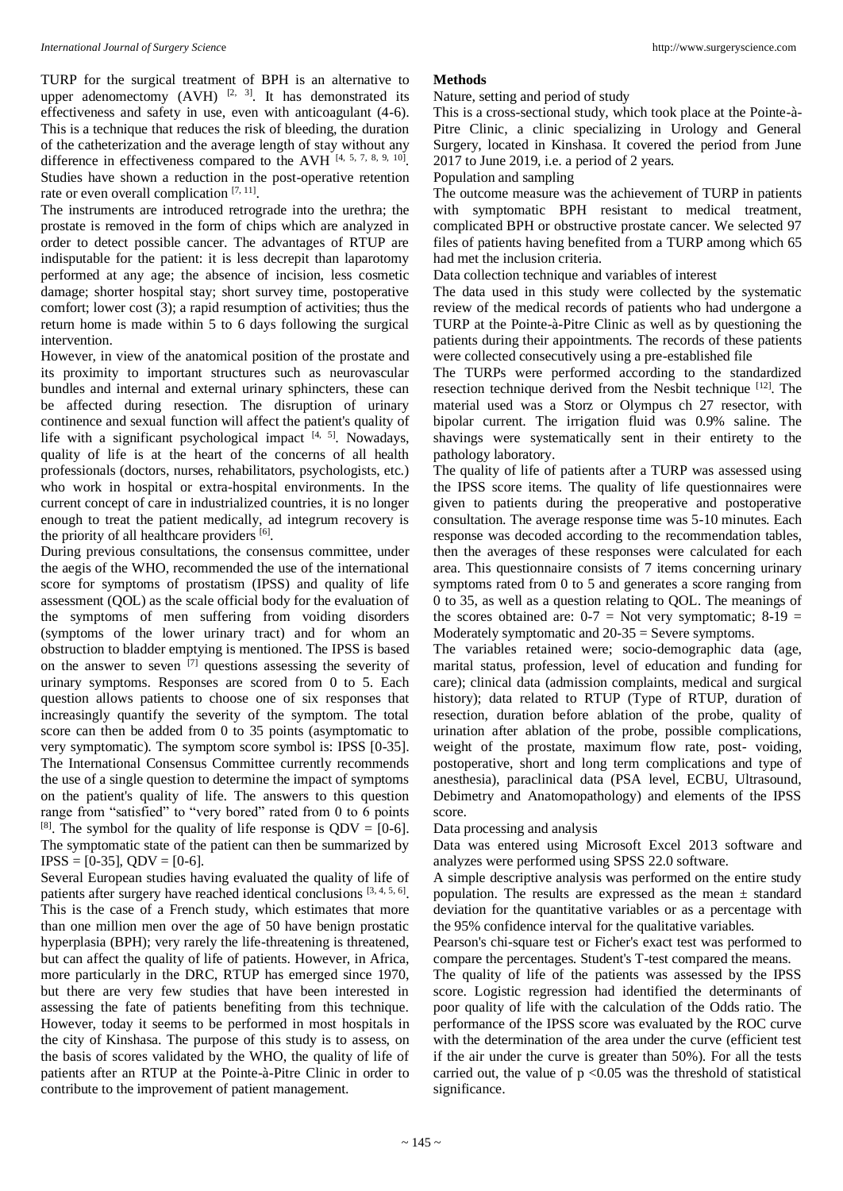TURP for the surgical treatment of BPH is an alternative to upper adenomectomy  $(AVH)$  <sup>[2, 3]</sup>. It has demonstrated its effectiveness and safety in use, even with anticoagulant (4-6). This is a technique that reduces the risk of bleeding, the duration of the catheterization and the average length of stay without any difference in effectiveness compared to the AVH  $[4, 5, 7, 8, 9, 10]$ . Studies have shown a reduction in the post-operative retention rate or even overall complication  $[7, 11]$ .

The instruments are introduced retrograde into the urethra; the prostate is removed in the form of chips which are analyzed in order to detect possible cancer. The advantages of RTUP are indisputable for the patient: it is less decrepit than laparotomy performed at any age; the absence of incision, less cosmetic damage; shorter hospital stay; short survey time, postoperative comfort; lower cost (3); a rapid resumption of activities; thus the return home is made within 5 to 6 days following the surgical intervention.

However, in view of the anatomical position of the prostate and its proximity to important structures such as neurovascular bundles and internal and external urinary sphincters, these can be affected during resection. The disruption of urinary continence and sexual function will affect the patient's quality of life with a significant psychological impact [4, 5]. Nowadays, quality of life is at the heart of the concerns of all health professionals (doctors, nurses, rehabilitators, psychologists, etc.) who work in hospital or extra-hospital environments. In the current concept of care in industrialized countries, it is no longer enough to treat the patient medically, ad integrum recovery is the priority of all healthcare providers [6].

During previous consultations, the consensus committee, under the aegis of the WHO, recommended the use of the international score for symptoms of prostatism (IPSS) and quality of life assessment (QOL) as the scale official body for the evaluation of the symptoms of men suffering from voiding disorders (symptoms of the lower urinary tract) and for whom an obstruction to bladder emptying is mentioned. The IPSS is based on the answer to seven  $\left[\begin{smallmatrix} 7 \end{smallmatrix}\right]$  questions assessing the severity of urinary symptoms. Responses are scored from 0 to 5. Each question allows patients to choose one of six responses that increasingly quantify the severity of the symptom. The total score can then be added from 0 to 35 points (asymptomatic to very symptomatic). The symptom score symbol is: IPSS [0-35]. The International Consensus Committee currently recommends the use of a single question to determine the impact of symptoms on the patient's quality of life. The answers to this question range from "satisfied" to "very bored" rated from 0 to 6 points <sup>[8]</sup>. The symbol for the quality of life response is  $QDV = [0-6]$ . The symptomatic state of the patient can then be summarized by  $IPSS = [0-35]$ ,  $ODV = [0-6]$ .

Several European studies having evaluated the quality of life of patients after surgery have reached identical conclusions [3, 4, 5, 6]. This is the case of a French study, which estimates that more than one million men over the age of 50 have benign prostatic hyperplasia (BPH); very rarely the life-threatening is threatened, but can affect the quality of life of patients. However, in Africa, more particularly in the DRC, RTUP has emerged since 1970, but there are very few studies that have been interested in assessing the fate of patients benefiting from this technique. However, today it seems to be performed in most hospitals in the city of Kinshasa. The purpose of this study is to assess, on the basis of scores validated by the WHO, the quality of life of patients after an RTUP at the Pointe-à-Pitre Clinic in order to contribute to the improvement of patient management.

#### **Methods**

#### Nature, setting and period of study

This is a cross-sectional study, which took place at the Pointe-à-Pitre Clinic, a clinic specializing in Urology and General Surgery, located in Kinshasa. It covered the period from June 2017 to June 2019, i.e. a period of 2 years.

Population and sampling

The outcome measure was the achievement of TURP in patients with symptomatic BPH resistant to medical treatment, complicated BPH or obstructive prostate cancer. We selected 97 files of patients having benefited from a TURP among which 65 had met the inclusion criteria.

Data collection technique and variables of interest

The data used in this study were collected by the systematic review of the medical records of patients who had undergone a TURP at the Pointe-à-Pitre Clinic as well as by questioning the patients during their appointments. The records of these patients were collected consecutively using a pre-established file

The TURPs were performed according to the standardized resection technique derived from the Nesbit technique [12]. The material used was a Storz or Olympus ch 27 resector, with bipolar current. The irrigation fluid was 0.9% saline. The shavings were systematically sent in their entirety to the pathology laboratory.

The quality of life of patients after a TURP was assessed using the IPSS score items. The quality of life questionnaires were given to patients during the preoperative and postoperative consultation. The average response time was 5-10 minutes. Each response was decoded according to the recommendation tables, then the averages of these responses were calculated for each area. This questionnaire consists of 7 items concerning urinary symptoms rated from 0 to 5 and generates a score ranging from 0 to 35, as well as a question relating to QOL. The meanings of the scores obtained are:  $0-7 =$  Not very symptomatic;  $8-19 =$ Moderately symptomatic and 20-35 = Severe symptoms.

The variables retained were; socio-demographic data (age, marital status, profession, level of education and funding for care); clinical data (admission complaints, medical and surgical history); data related to RTUP (Type of RTUP, duration of resection, duration before ablation of the probe, quality of urination after ablation of the probe, possible complications, weight of the prostate, maximum flow rate, post- voiding, postoperative, short and long term complications and type of anesthesia), paraclinical data (PSA level, ECBU, Ultrasound, Debimetry and Anatomopathology) and elements of the IPSS score.

Data processing and analysis

Data was entered using Microsoft Excel 2013 software and analyzes were performed using SPSS 22.0 software.

A simple descriptive analysis was performed on the entire study population. The results are expressed as the mean  $\pm$  standard deviation for the quantitative variables or as a percentage with the 95% confidence interval for the qualitative variables.

Pearson's chi-square test or Ficher's exact test was performed to compare the percentages. Student's T-test compared the means.

The quality of life of the patients was assessed by the IPSS score. Logistic regression had identified the determinants of poor quality of life with the calculation of the Odds ratio. The performance of the IPSS score was evaluated by the ROC curve with the determination of the area under the curve (efficient test if the air under the curve is greater than 50%). For all the tests carried out, the value of  $p \le 0.05$  was the threshold of statistical significance.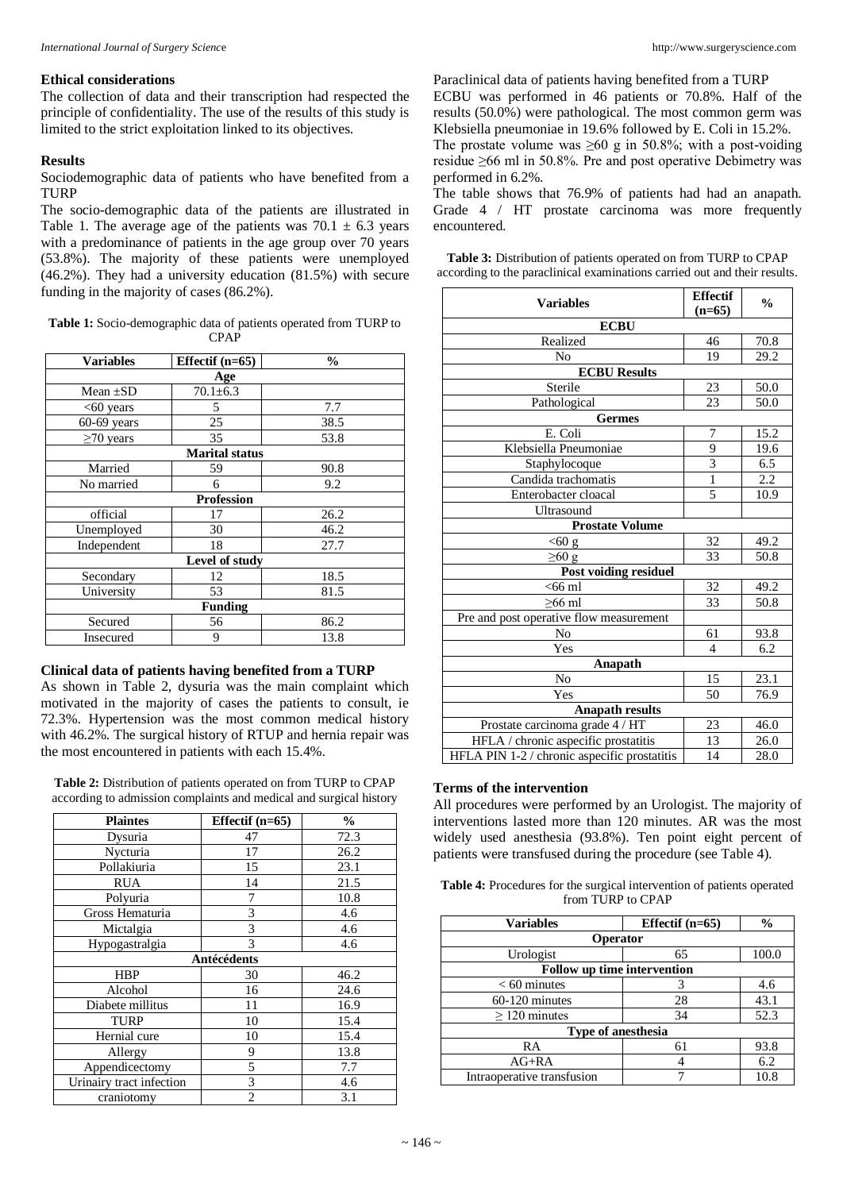# **Ethical considerations**

The collection of data and their transcription had respected the principle of confidentiality. The use of the results of this study is limited to the strict exploitation linked to its objectives.

# **Results**

Sociodemographic data of patients who have benefited from a TURP

The socio-demographic data of the patients are illustrated in Table 1. The average age of the patients was  $70.1 \pm 6.3$  years with a predominance of patients in the age group over 70 years (53.8%). The majority of these patients were unemployed (46.2%). They had a university education (81.5%) with secure funding in the majority of cases (86.2%).

**Table 1:** Socio-demographic data of patients operated from TURP to CPAP

| <b>Variables</b> | Effectif $(n=65)$     | $\frac{0}{0}$ |  |  |  |
|------------------|-----------------------|---------------|--|--|--|
| Age              |                       |               |  |  |  |
| Mean $\pm SD$    | $70.1 \pm 6.3$        |               |  |  |  |
| $<$ 60 years     | 5                     | 7.7           |  |  |  |
| $60-69$ years    | 25                    | 38.5          |  |  |  |
| $\geq$ 70 years  | 35                    | 53.8          |  |  |  |
|                  | <b>Marital</b> status |               |  |  |  |
| Married          | 59                    | 90.8          |  |  |  |
| No married       | 6                     | 9.2           |  |  |  |
|                  | <b>Profession</b>     |               |  |  |  |
| official         | 17                    | 26.2          |  |  |  |
| Unemployed       | 30                    | 46.2          |  |  |  |
| Independent      | 18                    | 27.7          |  |  |  |
| Level of study   |                       |               |  |  |  |
| Secondary        | 12                    | 18.5          |  |  |  |
| University       | 53                    | 81.5          |  |  |  |
| <b>Funding</b>   |                       |               |  |  |  |
| Secured          | 56                    | 86.2          |  |  |  |
| Insecured        | 9                     | 13.8          |  |  |  |

# **Clinical data of patients having benefited from a TURP**

As shown in Table 2, dysuria was the main complaint which motivated in the majority of cases the patients to consult, ie 72.3%. Hypertension was the most common medical history with 46.2%. The surgical history of RTUP and hernia repair was the most encountered in patients with each 15.4%.

**Table 2:** Distribution of patients operated on from TURP to CPAP according to admission complaints and medical and surgical history

| <b>Plaintes</b>          | Effectif $(n=65)$ | $\frac{0}{0}$ |  |  |
|--------------------------|-------------------|---------------|--|--|
| Dysuria                  | 47                | 72.3          |  |  |
| Nycturia                 | 17                | 26.2          |  |  |
| Pollakiuria              | 15                | 23.1          |  |  |
| <b>RUA</b>               | 14                | 21.5          |  |  |
| Polyuria                 | 7                 | 10.8          |  |  |
| Gross Hematuria          | 3                 | 4.6           |  |  |
| Mictalgia                | 3                 | 4.6           |  |  |
| Hypogastralgia           | 3                 | 4.6           |  |  |
| <b>Antécédents</b>       |                   |               |  |  |
| <b>HBP</b>               | 30                | 46.2          |  |  |
| Alcohol                  | 16                | 24.6          |  |  |
| Diabete millitus         | 11                | 16.9          |  |  |
| <b>TURP</b>              | 10                | 15.4          |  |  |
| Hernial cure             | 10                | 15.4          |  |  |
| Allergy                  | 9                 | 13.8          |  |  |
| Appendicectomy           | 5                 | 7.7           |  |  |
| Urinairy tract infection | 3                 | 4.6           |  |  |
| craniotomy               | $\overline{c}$    | 3.1           |  |  |

Paraclinical data of patients having benefited from a TURP ECBU was performed in 46 patients or 70.8%. Half of the results (50.0%) were pathological. The most common germ was Klebsiella pneumoniae in 19.6% followed by E. Coli in 15.2%.

The prostate volume was  $\geq 60$  g in 50.8%; with a post-voiding residue ≥66 ml in 50.8%. Pre and post operative Debimetry was performed in 6.2%.

The table shows that 76.9% of patients had had an anapath. Grade 4 / HT prostate carcinoma was more frequently encountered.

| <b>Table 3:</b> Distribution of patients operated on from TURP to CPAP    |
|---------------------------------------------------------------------------|
| according to the paraclinical examinations carried out and their results. |

| <b>Variables</b>                             | <b>Effectif</b> | $\frac{0}{0}$ |  |
|----------------------------------------------|-----------------|---------------|--|
| <b>ECBU</b>                                  | $(n=65)$        |               |  |
| Realized                                     | 46              | 70.8          |  |
| N <sub>o</sub>                               | 19              | 29.2          |  |
| <b>ECBU Results</b>                          |                 |               |  |
| Sterile                                      | 23              | 50.0          |  |
| Pathological                                 | 23              | 50.0          |  |
| <b>Germes</b>                                |                 |               |  |
| E. Coli                                      | 7               | 15.2          |  |
| Klebsiella Pneumoniae                        | 9               | 19.6          |  |
| Staphylocoque                                | $\overline{3}$  | 6.5           |  |
| Candida trachomatis                          | $\mathbf{1}$    | 2.2           |  |
| Enterobacter cloacal                         | 5               | 10.9          |  |
| Ultrasound                                   |                 |               |  |
| <b>Prostate Volume</b>                       |                 |               |  |
| $< 60$ g                                     | 32              | 49.2          |  |
| $\geq 60$ g                                  | 33              | 50.8          |  |
| Post voiding residuel                        |                 |               |  |
| $<66$ ml                                     | 32              | 49.2          |  |
| $>66$ ml                                     | 33              | 50.8          |  |
| Pre and post operative flow measurement      |                 |               |  |
| No                                           | 61              | 93.8          |  |
| Yes                                          | 4               | 6.2           |  |
| Anapath                                      |                 |               |  |
| N <sub>o</sub>                               | 15              | 23.1          |  |
| Yes                                          | 50              | 76.9          |  |
| <b>Anapath results</b>                       |                 |               |  |
| Prostate carcinoma grade 4 / HT              | 23              | 46.0          |  |
| HFLA / chronic aspecific prostatitis         | 13              | 26.0          |  |
| HFLA PIN 1-2 / chronic aspecific prostatitis | 14              | 28.0          |  |

# **Terms of the intervention**

All procedures were performed by an Urologist. The majority of interventions lasted more than 120 minutes. AR was the most widely used anesthesia (93.8%). Ten point eight percent of patients were transfused during the procedure (see Table 4).

**Table 4:** Procedures for the surgical intervention of patients operated from TURP to CPAP

| <b>Variables</b>                   | Effectif $(n=65)$ | $\frac{6}{9}$ |  |  |
|------------------------------------|-------------------|---------------|--|--|
| <b>Operator</b>                    |                   |               |  |  |
| Urologist                          | 100.0<br>65       |               |  |  |
| <b>Follow up time intervention</b> |                   |               |  |  |
| $< 60$ minutes                     |                   | 4.6           |  |  |
| $60-120$ minutes                   | 28                | 43.1          |  |  |
| $\geq$ 120 minutes                 | 34                | 52.3          |  |  |
| Type of anesthesia                 |                   |               |  |  |
| RA                                 | 61                | 93.8          |  |  |
| $AG+RA$                            |                   | 6.2           |  |  |
| Intraoperative transfusion         |                   | 10.8          |  |  |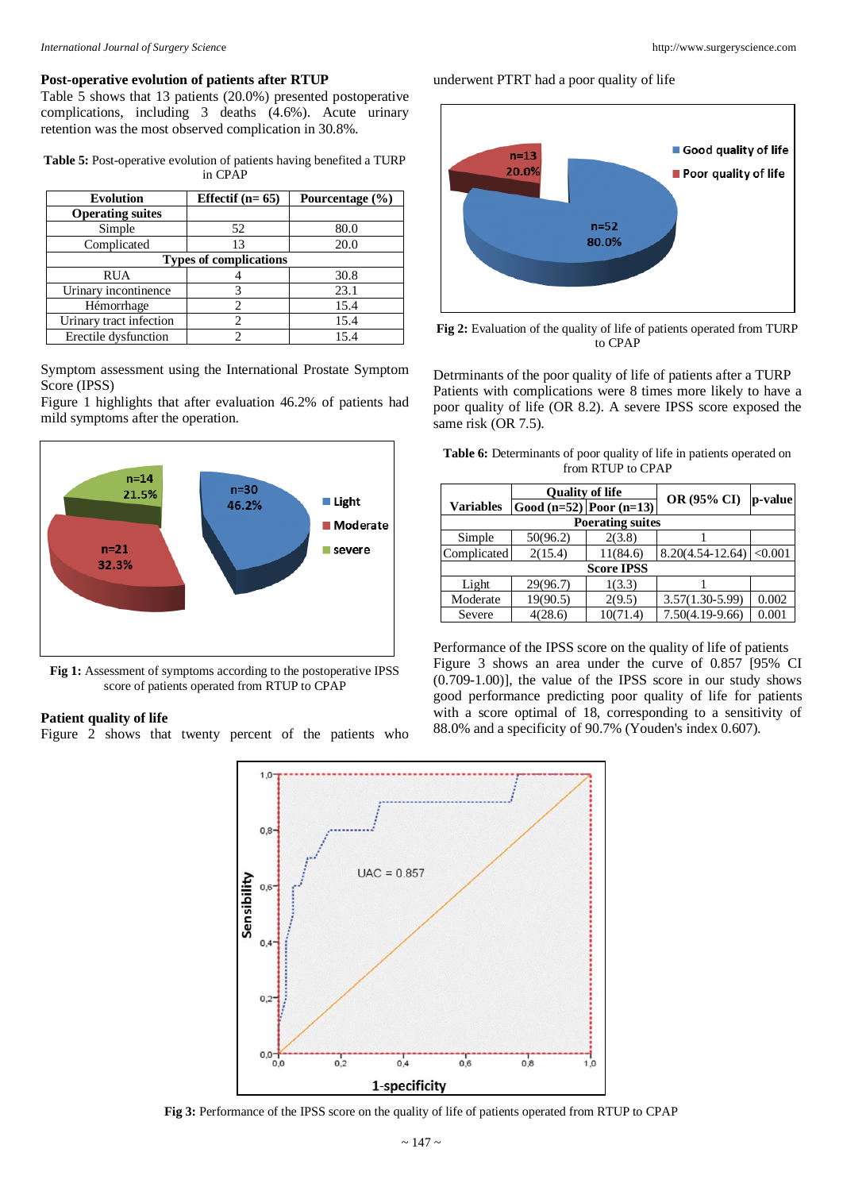### **Post-operative evolution of patients after RTUP**

Table 5 shows that 13 patients (20.0%) presented postoperative complications, including 3 deaths (4.6%). Acute urinary retention was the most observed complication in 30.8%.

**Table 5:** Post-operative evolution of patients having benefited a TURP in CPAP

| <b>Evolution</b>              | Effectif $(n=65)$ | Pourcentage (%) |  |  |
|-------------------------------|-------------------|-----------------|--|--|
| <b>Operating suites</b>       |                   |                 |  |  |
| Simple                        | 52                | 80.0            |  |  |
| Complicated                   | 13                | 20.0            |  |  |
| <b>Types of complications</b> |                   |                 |  |  |
| <b>RUA</b>                    |                   | 30.8            |  |  |
| Urinary incontinence          | 3                 | 23.1            |  |  |
| Hémorrhage                    | 2                 | 15.4            |  |  |
| Urinary tract infection       | $\mathfrak{D}$    | 15.4            |  |  |
| Erectile dysfunction          | っ                 | 15.4            |  |  |

Symptom assessment using the International Prostate Symptom Score (IPSS)

Figure 1 highlights that after evaluation 46.2% of patients had mild symptoms after the operation.



**Fig 1:** Assessment of symptoms according to the postoperative IPSS score of patients operated from RTUP to CPAP

# **Patient quality of life**

Figure 2 shows that twenty percent of the patients who

underwent PTRT had a poor quality of life



**Fig 2:** Evaluation of the quality of life of patients operated from TURP to CPAP

Detrminants of the poor quality of life of patients after a TURP Patients with complications were 8 times more likely to have a poor quality of life (OR 8.2). A severe IPSS score exposed the same risk (OR 7.5).

| <b>Table 6:</b> Determinants of poor quality of life in patients operated on |                   |  |  |
|------------------------------------------------------------------------------|-------------------|--|--|
|                                                                              | from RTUP to CPAP |  |  |

| <b>Ouality of life</b>  |          |                             |             |  |  |
|-------------------------|----------|-----------------------------|-------------|--|--|
|                         |          |                             | p-value     |  |  |
| <b>Poerating suites</b> |          |                             |             |  |  |
| 50(96.2)                | 2(3.8)   |                             |             |  |  |
| 2(15.4)<br>Complicated  | 11(84.6) | $8.20(4.54 - 12.64)$        | < 0.001     |  |  |
| <b>Score IPSS</b>       |          |                             |             |  |  |
| 29(96.7)                | 1(3.3)   |                             |             |  |  |
| 19(90.5)                | 2(9.5)   | $3.57(1.30-5.99)$           | 0.002       |  |  |
| 4(28.6)                 | 10(71.4) | $7.50(4.19-9.66)$           | 0.001       |  |  |
|                         |          | Good $(n=52)$ Poor $(n=13)$ | OR (95% CI) |  |  |

Performance of the IPSS score on the quality of life of patients Figure 3 shows an area under the curve of 0.857 [95% CI (0.709-1.00)], the value of the IPSS score in our study shows good performance predicting poor quality of life for patients with a score optimal of 18, corresponding to a sensitivity of 88.0% and a specificity of 90.7% (Youden's index 0.607).



**Fig 3:** Performance of the IPSS score on the quality of life of patients operated from RTUP to CPAP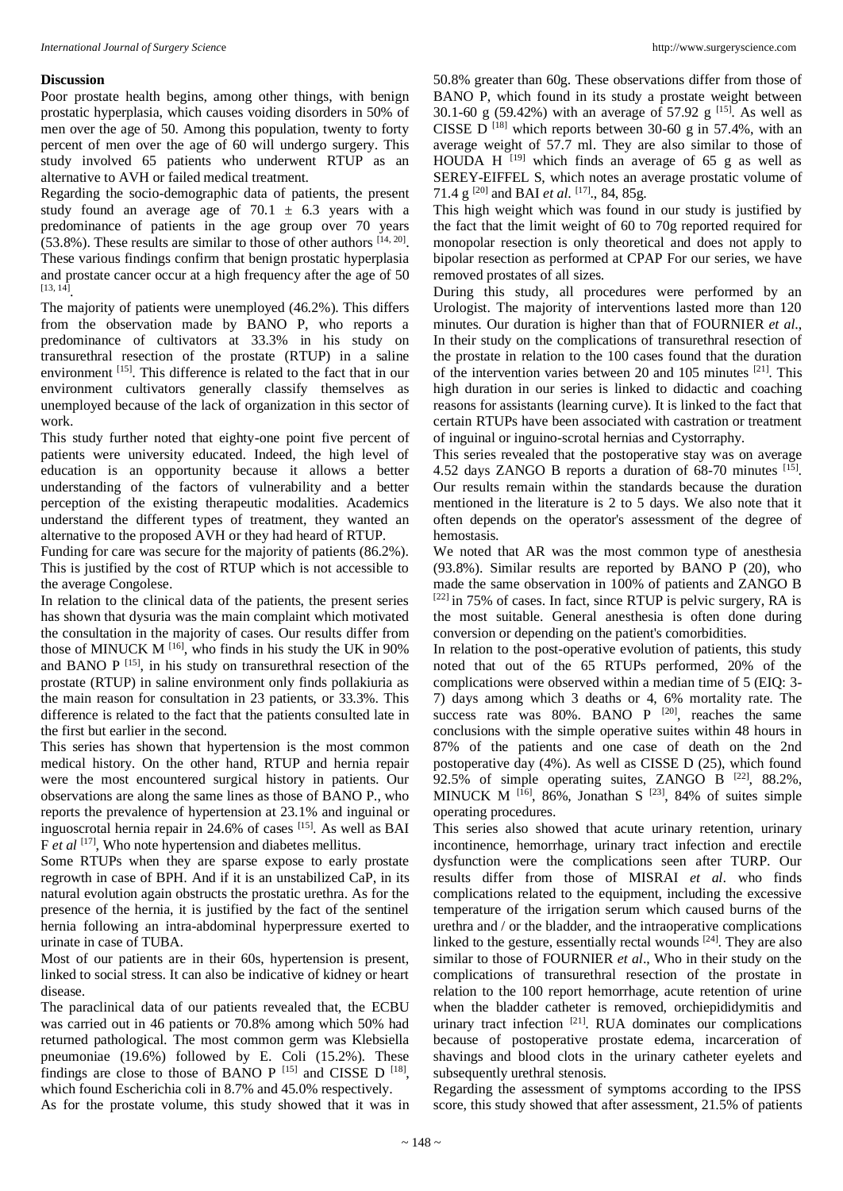#### **Discussion**

Poor prostate health begins, among other things, with benign prostatic hyperplasia, which causes voiding disorders in 50% of men over the age of 50. Among this population, twenty to forty percent of men over the age of 60 will undergo surgery. This study involved 65 patients who underwent RTUP as an alternative to AVH or failed medical treatment.

Regarding the socio-demographic data of patients, the present study found an average age of  $70.1 \pm 6.3$  years with a predominance of patients in the age group over 70 years  $(53.8\%)$ . These results are similar to those of other authors  $[14, 20]$ . These various findings confirm that benign prostatic hyperplasia and prostate cancer occur at a high frequency after the age of 50 [13, 14] .

The majority of patients were unemployed (46.2%). This differs from the observation made by BANO P, who reports a predominance of cultivators at 33.3% in his study on transurethral resection of the prostate (RTUP) in a saline environment [15]. This difference is related to the fact that in our environment cultivators generally classify themselves as unemployed because of the lack of organization in this sector of work.

This study further noted that eighty-one point five percent of patients were university educated. Indeed, the high level of education is an opportunity because it allows a better understanding of the factors of vulnerability and a better perception of the existing therapeutic modalities. Academics understand the different types of treatment, they wanted an alternative to the proposed AVH or they had heard of RTUP.

Funding for care was secure for the majority of patients (86.2%). This is justified by the cost of RTUP which is not accessible to the average Congolese.

In relation to the clinical data of the patients, the present series has shown that dysuria was the main complaint which motivated the consultation in the majority of cases. Our results differ from those of MINUCK M <sup>[16]</sup>, who finds in his study the UK in 90% and BANO P <a>[15]</a>, in his study on transurethral resection of the prostate (RTUP) in saline environment only finds pollakiuria as the main reason for consultation in 23 patients, or 33.3%. This difference is related to the fact that the patients consulted late in the first but earlier in the second.

This series has shown that hypertension is the most common medical history. On the other hand, RTUP and hernia repair were the most encountered surgical history in patients. Our observations are along the same lines as those of BANO P., who reports the prevalence of hypertension at 23.1% and inguinal or inguoscrotal hernia repair in 24.6% of cases [15]. As well as BAI F *et al* [17], Who note hypertension and diabetes mellitus.

Some RTUPs when they are sparse expose to early prostate regrowth in case of BPH. And if it is an unstabilized CaP, in its natural evolution again obstructs the prostatic urethra. As for the presence of the hernia, it is justified by the fact of the sentinel hernia following an intra-abdominal hyperpressure exerted to urinate in case of TUBA.

Most of our patients are in their 60s, hypertension is present, linked to social stress. It can also be indicative of kidney or heart disease.

The paraclinical data of our patients revealed that, the ECBU was carried out in 46 patients or 70.8% among which 50% had returned pathological. The most common germ was Klebsiella pneumoniae (19.6%) followed by E. Coli (15.2%). These findings are close to those of BANO  $P$ <sup>[15]</sup> and CISSE D<sup>[18]</sup>, which found Escherichia coli in 8.7% and 45.0% respectively.

As for the prostate volume, this study showed that it was in

50.8% greater than 60g. These observations differ from those of BANO P, which found in its study a prostate weight between 30.1-60 g (59.42%) with an average of 57.92 g  $^{[15]}$ . As well as CISSE D<sup>[18]</sup> which reports between 30-60 g in 57.4%, with an average weight of 57.7 ml. They are also similar to those of HOUDA H  $[19]$  which finds an average of 65 g as well as SEREY-EIFFEL S, which notes an average prostatic volume of 71.4 g [20] and BAI *et al*. [17]., 84, 85g.

This high weight which was found in our study is justified by the fact that the limit weight of 60 to 70g reported required for monopolar resection is only theoretical and does not apply to bipolar resection as performed at CPAP For our series, we have removed prostates of all sizes.

During this study, all procedures were performed by an Urologist. The majority of interventions lasted more than 120 minutes. Our duration is higher than that of FOURNIER *et al*., In their study on the complications of transurethral resection of the prostate in relation to the 100 cases found that the duration of the intervention varies between 20 and 105 minutes [21]. This high duration in our series is linked to didactic and coaching reasons for assistants (learning curve). It is linked to the fact that certain RTUPs have been associated with castration or treatment of inguinal or inguino-scrotal hernias and Cystorraphy.

This series revealed that the postoperative stay was on average 4.52 days ZANGO B reports a duration of 68-70 minutes [15]. Our results remain within the standards because the duration mentioned in the literature is 2 to 5 days. We also note that it often depends on the operator's assessment of the degree of hemostasis.

We noted that AR was the most common type of anesthesia (93.8%). Similar results are reported by BANO P (20), who made the same observation in 100% of patients and ZANGO B  $[22]$  in 75% of cases. In fact, since RTUP is pelvic surgery, RA is the most suitable. General anesthesia is often done during conversion or depending on the patient's comorbidities.

In relation to the post-operative evolution of patients, this study noted that out of the 65 RTUPs performed, 20% of the complications were observed within a median time of 5 (EIQ: 3- 7) days among which 3 deaths or 4, 6% mortality rate. The success rate was  $80\%$ . BANO P  $[20]$ , reaches the same conclusions with the simple operative suites within 48 hours in 87% of the patients and one case of death on the 2nd postoperative day (4%). As well as CISSE D (25), which found 92.5% of simple operating suites, ZANGO B [22], 88.2%, MINUCK M  $^{[16]}$ , 86%, Jonathan S  $^{[23]}$ , 84% of suites simple operating procedures.

This series also showed that acute urinary retention, urinary incontinence, hemorrhage, urinary tract infection and erectile dysfunction were the complications seen after TURP. Our results differ from those of MISRAI *et al*. who finds complications related to the equipment, including the excessive temperature of the irrigation serum which caused burns of the urethra and / or the bladder, and the intraoperative complications linked to the gesture, essentially rectal wounds [24]. They are also similar to those of FOURNIER *et al*., Who in their study on the complications of transurethral resection of the prostate in relation to the 100 report hemorrhage, acute retention of urine when the bladder catheter is removed, orchiepididymitis and urinary tract infection <sup>[21]</sup>. RUA dominates our complications because of postoperative prostate edema, incarceration of shavings and blood clots in the urinary catheter eyelets and subsequently urethral stenosis.

Regarding the assessment of symptoms according to the IPSS score, this study showed that after assessment, 21.5% of patients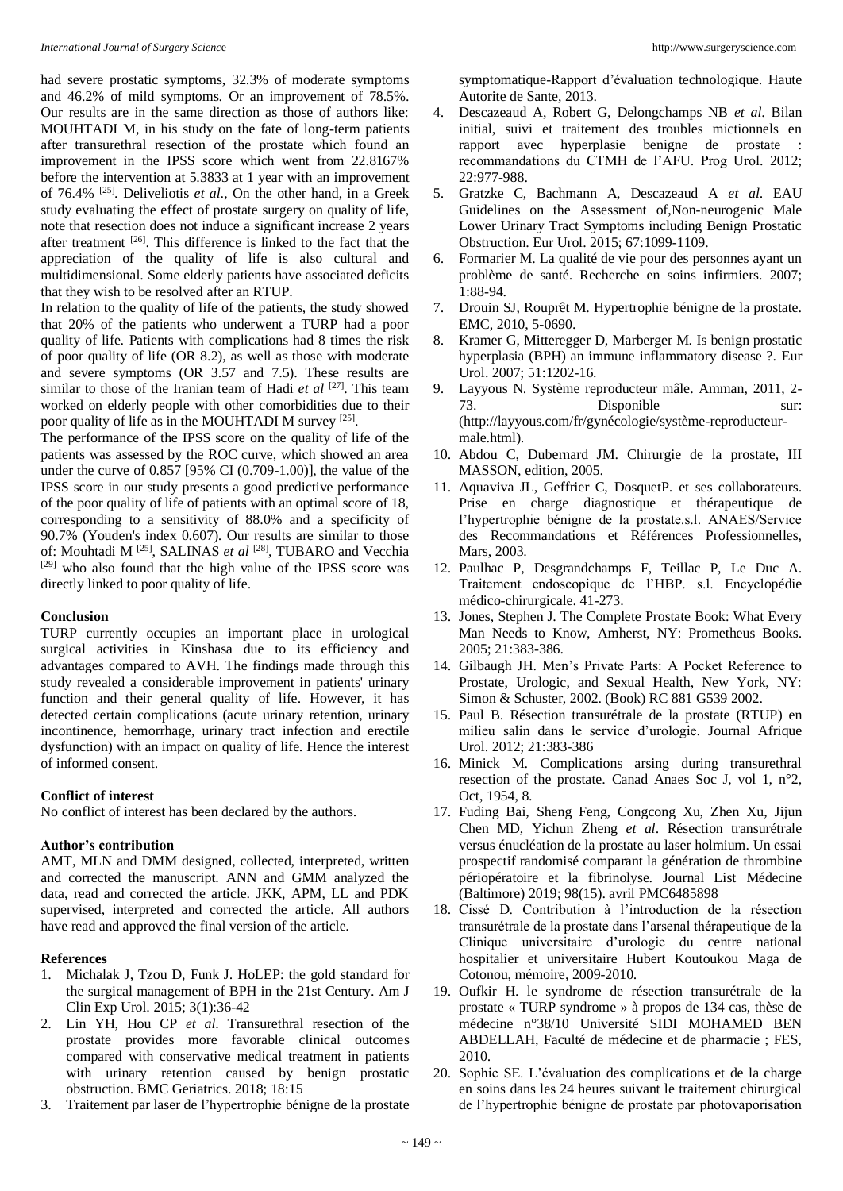had severe prostatic symptoms, 32.3% of moderate symptoms and 46.2% of mild symptoms. Or an improvement of 78.5%. Our results are in the same direction as those of authors like: MOUHTADI M, in his study on the fate of long-term patients after transurethral resection of the prostate which found an improvement in the IPSS score which went from 22.8167% before the intervention at 5.3833 at 1 year with an improvement of 76.4% [25]. Deliveliotis *et al*., On the other hand, in a Greek study evaluating the effect of prostate surgery on quality of life, note that resection does not induce a significant increase 2 years after treatment [26]. This difference is linked to the fact that the appreciation of the quality of life is also cultural and multidimensional. Some elderly patients have associated deficits that they wish to be resolved after an RTUP.

In relation to the quality of life of the patients, the study showed that 20% of the patients who underwent a TURP had a poor quality of life. Patients with complications had 8 times the risk of poor quality of life (OR 8.2), as well as those with moderate and severe symptoms (OR 3.57 and 7.5). These results are similar to those of the Iranian team of Hadi *et al* [27]. This team worked on elderly people with other comorbidities due to their poor quality of life as in the MOUHTADI M survey [25].

The performance of the IPSS score on the quality of life of the patients was assessed by the ROC curve, which showed an area under the curve of 0.857 [95% CI (0.709-1.00)], the value of the IPSS score in our study presents a good predictive performance of the poor quality of life of patients with an optimal score of 18, corresponding to a sensitivity of 88.0% and a specificity of 90.7% (Youden's index 0.607). Our results are similar to those of: Mouhtadi M [25], SALINAS *et al* [28], TUBARO and Vecchia [29] who also found that the high value of the IPSS score was directly linked to poor quality of life.

### **Conclusion**

TURP currently occupies an important place in urological surgical activities in Kinshasa due to its efficiency and advantages compared to AVH. The findings made through this study revealed a considerable improvement in patients' urinary function and their general quality of life. However, it has detected certain complications (acute urinary retention, urinary incontinence, hemorrhage, urinary tract infection and erectile dysfunction) with an impact on quality of life. Hence the interest of informed consent.

# **Conflict of interest**

No conflict of interest has been declared by the authors.

### **Author's contribution**

AMT, MLN and DMM designed, collected, interpreted, written and corrected the manuscript. ANN and GMM analyzed the data, read and corrected the article. JKK, APM, LL and PDK supervised, interpreted and corrected the article. All authors have read and approved the final version of the article.

# **References**

- 1. Michalak J, Tzou D, Funk J. HoLEP: the gold standard for the surgical management of BPH in the 21st Century. Am J Clin Exp Urol. 2015; 3(1):36-42
- 2. Lin YH, Hou CP *et al*. Transurethral resection of the prostate provides more favorable clinical outcomes compared with conservative medical treatment in patients with urinary retention caused by benign prostatic obstruction. BMC Geriatrics. 2018; 18:15
- 3. Traitement par laser de l'hypertrophie bénigne de la prostate

symptomatique-Rapport d'évaluation technologique. Haute Autorite de Sante, 2013.

- 4. Descazeaud A, Robert G, Delongchamps NB *et al*. Bilan initial, suivi et traitement des troubles mictionnels en rapport avec hyperplasie benigne de prostate : recommandations du CTMH de l'AFU. Prog Urol. 2012; 22:977-988.
- 5. Gratzke C, Bachmann A, Descazeaud A *et al*. EAU Guidelines on the Assessment of,Non-neurogenic Male Lower Urinary Tract Symptoms including Benign Prostatic Obstruction. Eur Urol. 2015; 67:1099-1109.
- 6. Formarier M. La qualité de vie pour des personnes ayant un problème de santé. Recherche en soins infirmiers. 2007; 1:88-94.
- 7. Drouin SJ, Rouprêt M. Hypertrophie bénigne de la prostate. EMC, 2010, 5-0690.
- 8. Kramer G, Mitteregger D, Marberger M. Is benign prostatic hyperplasia (BPH) an immune inflammatory disease ?. Eur Urol. 2007; 51:1202-16.
- 9. Layyous N. Système reproducteur mâle. Amman, 2011, 2- 73. Disponible sur: (http://layyous.com/fr/gynécologie/système-reproducteurmale.html).
- 10. Abdou C, Dubernard JM. Chirurgie de la prostate, III MASSON, edition, 2005.
- 11. Aquaviva JL, Geffrier C, DosquetP. et ses collaborateurs. Prise en charge diagnostique et thérapeutique de l'hypertrophie bénigne de la prostate.s.l. ANAES/Service des Recommandations et Références Professionnelles, Mars, 2003.
- 12. Paulhac P, Desgrandchamps F, Teillac P, Le Duc A. Traitement endoscopique de l'HBP. s.l. Encyclopédie médico-chirurgicale. 41-273.
- 13. Jones, Stephen J. The Complete Prostate Book: What Every Man Needs to Know, Amherst, NY: Prometheus Books. 2005; 21:383-386.
- 14. Gilbaugh JH. Men's Private Parts: A Pocket Reference to Prostate, Urologic, and Sexual Health, New York, NY: Simon & Schuster, 2002. (Book) RC 881 G539 2002.
- 15. Paul B. Résection transurétrale de la prostate (RTUP) en milieu salin dans le service d'urologie. Journal Afrique Urol. 2012; 21:383-386
- 16. Minick M. Complications arsing during transurethral resection of the prostate. Canad Anaes Soc J, vol 1, n°2, Oct, 1954, 8.
- 17. Fuding Bai, Sheng Feng, Congcong Xu, Zhen Xu, Jijun Chen MD, Yichun Zheng *et al*. Résection transurétrale versus énucléation de la prostate au laser holmium. Un essai prospectif randomisé comparant la génération de thrombine périopératoire et la fibrinolyse. Journal List Médecine (Baltimore) 2019; 98(15). avril PMC6485898
- 18. Cissé D. Contribution à l'introduction de la résection transurétrale de la prostate dans l'arsenal thérapeutique de la Clinique universitaire d'urologie du centre national hospitalier et universitaire Hubert Koutoukou Maga de Cotonou, mémoire, 2009-2010.
- 19. Oufkir H. le syndrome de résection transurétrale de la prostate « TURP syndrome » à propos de 134 cas, thèse de médecine n°38/10 Université SIDI MOHAMED BEN ABDELLAH, Faculté de médecine et de pharmacie ; FES, 2010.
- 20. Sophie SE. L'évaluation des complications et de la charge en soins dans les 24 heures suivant le traitement chirurgical de l'hypertrophie bénigne de prostate par photovaporisation